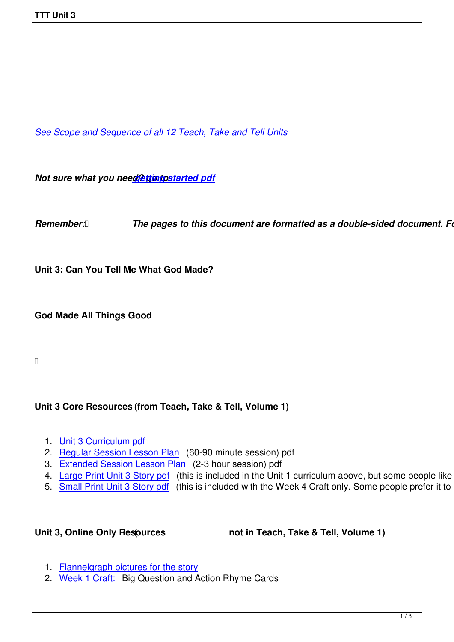*See Scope and Sequence of all 12 Teach, Take and Tell Units*

*Not sure what you need? thing started pdf* 

*Remember: <b><i>[The pages to this d](images/TTT/8 4 11 TTT/New TTT Website Documents/TTT Book portions/2nd S and S TTT.pdf)ocument are formatted as a double-sided document. Follow Formate printers**Follow 7* 

**Unit 3: Can You Tell Me What God Made?**

**God Made All Things Good !**

## **Unit 3 Core Resources (from Teach, Take & Tell, Volume 1)**

- 1. Unit 3 Curriculum pdf
- 2. Regular Session Lesson Plan (60-90 minute session) pdf
- 3. Extended Session Lesson Plan (2-3 hour session) pdf
- 4. [Large Print Unit 3 Sto](images/TTT/8 4 11 TTT/Unit 3/Unit 3/4th Unit 3 TTT Curr Portion.pdf)ry pdf (this is included in the Unit 1 curriculum above, but some people like to just
- 5. [Small Print Unit 3 Story pdf \(t](images/TTT/8 4 11 TTT/Unit 3/Unit 3/2 LP R.pdf)his is included with the Week 4 Craft only. Some people prefer it to the

Unit 3, Online Only Resources **(1)** not in Teach, Take & Tell, Volume 1)

- 1. Flannelgraph pictures for the story
- 2. Week 1 Craft: Big Question and Action Rhyme Cards